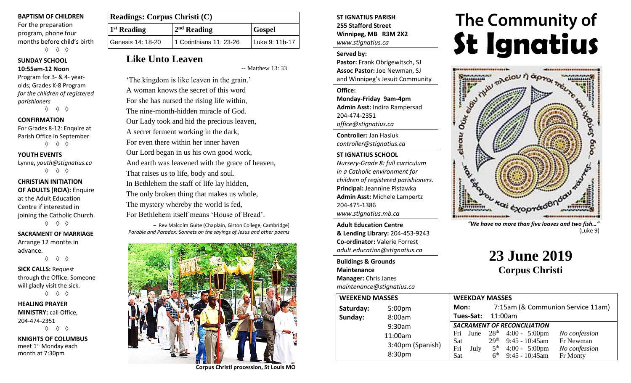#### **BAPTISM OF CHILDREN**

For the preparation program, phone four months before child's birth ◊ ◊ ◊

#### **SUNDAY SCHOOL 10:55am-12 Noon**

Program for 3- & 4- yearolds; Grades K-8 Program *for the children of registered parishioners*

◊ ◊ ◊

#### **CONFIRMATION**

For Grades 8-12: Enquire at Parish Office in September ◊ ◊ ◊

#### **YOUTH EVENTS**

Lynne**,** *youth@stignatius.ca* ◊ ◊ ◊

#### **CHRISTIAN INITIATION OF ADULTS (RCIA):** Enquire at the Adult Education Centre if interested in joining the Catholic Church. ◊ ◊ ◊

**SACRAMENT OF MARRIAGE** Arrange 12 months in advance.

◊ ◊ ◊

**SICK CALLS:** Request through the Office. Someone will gladly visit the sick. ◊ ◊ ◊

**HEALING PRAYER MINISTRY:** call Office, 204-474-2351 ◊ ◊ ◊

**KNIGHTS OF COLUMBUS** meet 1<sup>st</sup> Monday each month at 7:30pm

| <b>Readings: Corpus Christi (C)</b> |                         |                  |
|-------------------------------------|-------------------------|------------------|
| 1 <sup>st</sup> Reading             | $2nd$ Reading           | <b>Gospel</b>    |
| Genesis 14: 18-20                   | 1 Corinthians 11: 23-26 | l Luke 9: 11b-17 |

# **Like Unto Leaven**

-- Matthew 13: 33

'The kingdom is like leaven in the grain.' A woman knows the secret of this word For she has nursed the rising life within, The nine-month-hidden miracle of God. Our Lady took and hid the precious leaven, A secret ferment working in the dark, For even there within her inner haven Our Lord began in us his own good work, And earth was leavened with the grace of heaven, That raises us to life, body and soul. In Bethlehem the staff of life lay hidden, The only broken thing that makes us whole, The mystery whereby the world is fed, For Bethlehem itself means 'House of Bread'.

 – Rev Malcolm Guite (Chaplain, Girton College, Cambridge) *Parable and Paradox: Sonnets on the sayings of Jesus and other poems*



**Corpus Christi procession, St Louis MO**

### **ST IGNATIUS PARISH 255 Stafford Street Winnipeg, MB R3M 2X2** *www.stignatius.ca*

#### **Served by:**

**Pastor:** Frank Obrigewitsch, SJ **Assoc Pastor:** Joe Newman, SJ and Winnipeg's Jesuit Community

**Office: Monday-Friday 9am-4pm Admin Asst:** Indira Rampersad 204-474-2351 *office@stignatius.ca*

**Controller:** Jan Hasiuk *controller@stignatius.ca*

#### **ST IGNATIUS SCHOOL**

*Nursery-Grade 8: full curriculum in a Catholic environment for children of registered parishioners.* **Principal:** Jeannine Pistawka **Admin Asst:** Michele Lampertz 204-475-1386 *www.stignatius.mb.ca*

**Adult Education Centre & Lending Library:** 204-453-9243 **Co-ordinator:** Valerie Forrest *adult.education@stignatius.ca*

**Buildings & Grounds Maintenance Manager:** Chris Janes *maintenance@stignatius.ca*

| <b>WEEKEND MASSES</b> |                  | <b>WEEKDAY MASSES</b> |                   |                                    |                                    |                         |                                            |
|-----------------------|------------------|-----------------------|-------------------|------------------------------------|------------------------------------|-------------------------|--------------------------------------------|
| Saturday:             | 5:00pm           | Mon:                  |                   |                                    |                                    | 7:15am (& Communio      |                                            |
| Sunday:               | 8:00am           |                       | Tues-Sat: 11:00am |                                    |                                    |                         |                                            |
|                       | 9:30am           |                       |                   |                                    | <b>SACRAMENT OF RECONCILIATION</b> |                         |                                            |
|                       | 11:00am          | Fri                   |                   |                                    | June $28^{th}$ 4:00 - 5:00pm       |                         | $\overline{ }$                             |
|                       | 3:40pm (Spanish) | Sat                   |                   | 29 <sup>th</sup>                   | $9:45 - 10:45$ am                  |                         | $\mathbf{F}$                               |
|                       | 8:30pm           | Fri<br>Sat            | July              | 5 <sup>th</sup><br>6 <sup>th</sup> | $9:45 - 10:45$ am                  | $4:00 - 5:00 \text{pm}$ | $\boldsymbol{\varGamma}$<br>$\overline{I}$ |



*"We have no more than five loaves and two fish…"* (Luke 9)

# **23 June 2019 Corpus Christi**

| <b>WEEKDAY MASSES</b>              |                   |                                   |                         |               |
|------------------------------------|-------------------|-----------------------------------|-------------------------|---------------|
| Mon:                               |                   | 7:15am (& Communion Service 11am) |                         |               |
|                                    | Tues-Sat: 11:00am |                                   |                         |               |
| <b>SACRAMENT OF RECONCILIATION</b> |                   |                                   |                         |               |
| Fri                                | June              | 28 <sup>th</sup>                  | $4:00 - 5:00 \text{pm}$ | No confession |
| <b>Sat</b>                         |                   | 29 <sup>th</sup>                  | $9:45 - 10:45$ am       | Fr Newman     |
| Fri                                | July              | 5 <sup>th</sup>                   | $4:00 - 5:00 \text{pm}$ | No confession |
| Sat                                |                   | 6 <sup>th</sup>                   | 9:45 - 10:45am          | Fr Monty      |